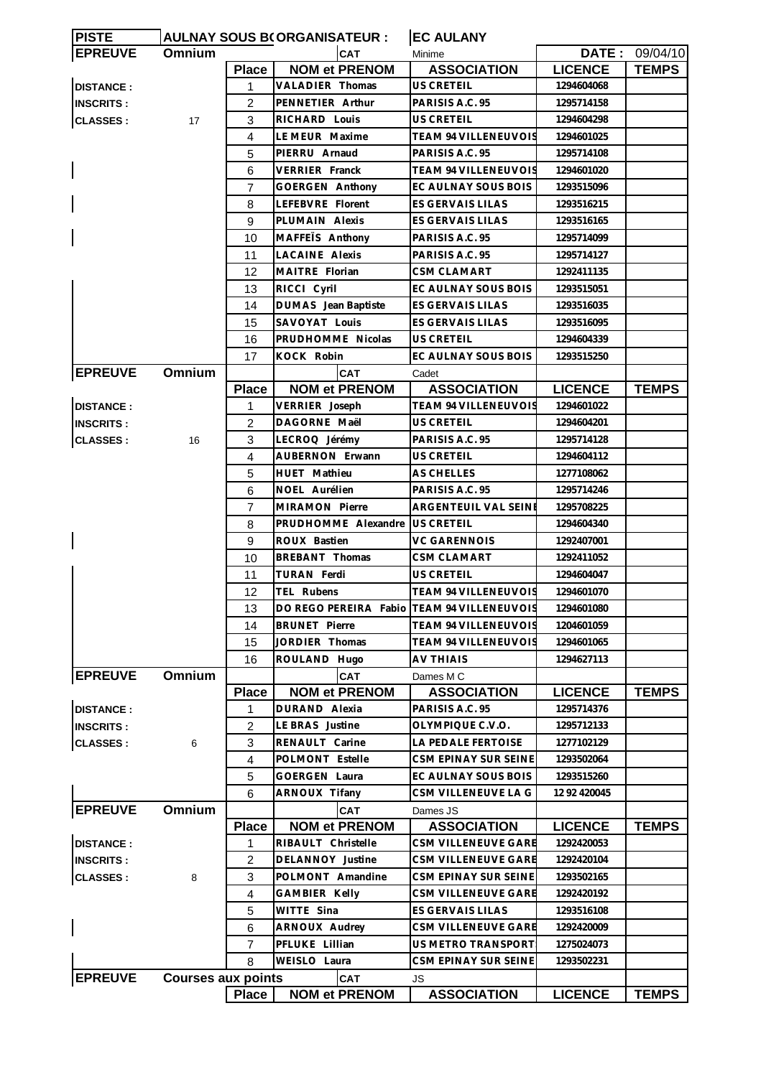| <b>PISTE</b>     |                           |                | <b>AULNAY SOUS B(ORGANISATEUR:</b>         | <b>EC AULANY</b>            |                |                |
|------------------|---------------------------|----------------|--------------------------------------------|-----------------------------|----------------|----------------|
| <b>EPREUVE</b>   | <b>Omnium</b>             |                | <b>CAT</b>                                 | Minime                      |                | DATE: 09/04/10 |
|                  |                           | <b>Place</b>   | <b>NOM et PRENOM</b>                       | <b>ASSOCIATION</b>          | <b>LICENCE</b> | <b>TEMPS</b>   |
| <b>DISTANCE:</b> |                           | 1              | <b>VALADIER Thomas</b>                     | US CRETEIL                  | 1294604068     |                |
| <b>INSCRITS:</b> |                           | 2              | PENNETIER Arthur                           | PARISIS A.C. 95             | 1295714158     |                |
| <b>CLASSES:</b>  | 17                        | 3              | RICHARD Louis                              | <b>US CRETEIL</b>           | 1294604298     |                |
|                  |                           | 4              | LE MEUR Maxime                             | TEAM 94 VILLENEUVOIS        | 1294601025     |                |
|                  |                           | 5              | PIERRU Arnaud                              | PARISIS A.C. 95             | 1295714108     |                |
|                  |                           | 6              | VERRIER Franck                             | TEAM 94 VILLENEUVOIS        | 1294601020     |                |
|                  |                           | $\overline{7}$ | <b>GOERGEN Anthony</b>                     | EC AULNAY SOUS BOIS         | 1293515096     |                |
|                  |                           | 8              | LEFEBVRE Florent                           | <b>ES GERVAIS LILAS</b>     | 1293516215     |                |
|                  |                           | 9              | PLUMAIN Alexis                             | ES GERVAIS LILAS            | 1293516165     |                |
|                  |                           | 10             | MAFFEIS Anthony                            | PARISIS A.C. 95             | 1295714099     |                |
|                  |                           | 11             | <b>LACAINE Alexis</b>                      | PARISIS A.C. 95             | 1295714127     |                |
|                  |                           | 12             | MAITRE Florian                             | CSM CLAMART                 | 1292411135     |                |
|                  |                           | 13             | RICCI Cyril                                | EC AULNAY SOUS BOIS         | 1293515051     |                |
|                  |                           | 14             | DUMAS Jean Baptiste                        | ES GERVAIS LILAS            | 1293516035     |                |
|                  |                           | 15             | SAVOYAT Louis                              | ES GERVAIS LILAS            | 1293516095     |                |
|                  |                           | 16             | PRUDHOMME Nicolas                          | US CRETEIL                  | 1294604339     |                |
|                  |                           | 17             | KOCK Robin                                 | EC AULNAY SOUS BOIS         | 1293515250     |                |
| <b>EPREUVE</b>   | Omnium                    |                | <b>CAT</b>                                 | Cadet                       |                |                |
|                  |                           | <b>Place</b>   | <b>NOM et PRENOM</b>                       | <b>ASSOCIATION</b>          | <b>LICENCE</b> | <b>TEMPS</b>   |
|                  |                           |                | VERRIER Joseph                             | <b>TEAM 94 VILLENEUVOIS</b> | 1294601022     |                |
| <b>DISTANCE:</b> |                           | 1              |                                            |                             |                |                |
| <b>INSCRITS:</b> |                           | 2              | DAGORNE Maël                               | US CRETEIL                  | 1294604201     |                |
| <b>CLASSES:</b>  | 16                        | 3              | LECROQ Jérémy                              | PARISIS A.C. 95             | 1295714128     |                |
|                  |                           | 4              | AUBERNON Erwann                            | US CRETEIL                  | 1294604112     |                |
|                  |                           | 5              | HUET Mathieu                               | <b>AS CHELLES</b>           | 1277108062     |                |
|                  |                           | 6              | NOEL Aurélien                              | PARISIS A.C. 95             | 1295714246     |                |
|                  |                           | 7              | MIRAMON Pierre                             | ARGENTEUIL VAL SEINE        | 1295708225     |                |
|                  |                           | 8              | PRUDHOMME Alexandre                        | <b>US CRETEIL</b>           | 1294604340     |                |
|                  |                           | 9              | ROUX Bastien                               | <b>VC GARENNOIS</b>         | 1292407001     |                |
|                  |                           | 10             | BREBANT Thomas                             | CSM CLAMART                 | 1292411052     |                |
|                  |                           | 11             | <b>TURAN Ferdi</b>                         | <b>US CRETEIL</b>           | 1294604047     |                |
|                  |                           | 12             | TEL Rubens                                 | <b>TEAM 94 VILLENEUVOIS</b> | 1294601070     |                |
|                  |                           | 13             | DO REGO PEREIRA Fabio TEAM 94 VILLENEUVOIS |                             | 1294601080     |                |
|                  |                           | 14             | <b>BRUNET Pierre</b>                       | <b>TEAM 94 VILLENEUVOIS</b> | 1204601059     |                |
|                  |                           | 15             | JORDIER Thomas                             | TEAM 94 VILLENEUVOIS        | 1294601065     |                |
|                  |                           | 16             | ROULAND Hugo                               | AV THIAIS                   | 1294627113     |                |
| <b>EPREUVE</b>   | Omnium                    |                | <b>CAT</b>                                 | Dames M C                   |                |                |
|                  |                           | <b>Place</b>   | <b>NOM et PRENOM</b>                       | <b>ASSOCIATION</b>          | <b>LICENCE</b> | <b>TEMPS</b>   |
| <b>DISTANCE:</b> |                           | 1              | DURAND Alexia                              | PARISIS A.C. 95             | 1295714376     |                |
| <b>INSCRITS:</b> |                           | 2              | LE BRAS Justine                            | OLYMPIQUE C.V.O.            | 1295712133     |                |
| <b>CLASSES:</b>  | 6                         | 3              | RENAULT Carine                             | LA PEDALE FERTOISE          | 1277102129     |                |
|                  |                           | 4              | POLMONT Estelle                            | CSM EPINAY SUR SEINE        | 1293502064     |                |
|                  |                           | 5              | <b>GOERGEN Laura</b>                       | EC AULNAY SOUS BOIS         | 1293515260     |                |
|                  |                           | 6              | ARNOUX Tifany                              | CSM VILLENEUVE LA G         | 12 92 420045   |                |
| <b>EPREUVE</b>   | Omnium                    |                | CAT                                        | Dames JS                    |                |                |
|                  |                           | <b>Place</b>   | <b>NOM et PRENOM</b>                       | <b>ASSOCIATION</b>          | <b>LICENCE</b> | <b>TEMPS</b>   |
| <b>DISTANCE:</b> |                           | 1              | RIBAULT Christelle                         | CSM VILLENEUVE GARE         | 1292420053     |                |
| <b>INSCRITS:</b> |                           | 2              | DELANNOY Justine                           | CSM VILLENEUVE GARE         | 1292420104     |                |
| <b>CLASSES:</b>  | 8                         | 3              | POLMONT Amandine                           | CSM EPINAY SUR SEINE        | 1293502165     |                |
|                  |                           | 4              | <b>GAMBIER Kelly</b>                       | CSM VILLENEUVE GARE         | 1292420192     |                |
|                  |                           | 5              | WITTE Sina                                 | ES GERVAIS LILAS            | 1293516108     |                |
|                  |                           | 6              | ARNOUX Audrey                              | CSM VILLENEUVE GARE         | 1292420009     |                |
|                  |                           | 7              | PFLUKE Lillian                             | US METRO TRANSPORT          | 1275024073     |                |
|                  |                           | 8              | WEISLO Laura                               | CSM EPINAY SUR SEINE        | 1293502231     |                |
| <b>EPREUVE</b>   | <b>Courses aux points</b> |                | <b>CAT</b>                                 | JS                          |                |                |
|                  |                           | <b>Place</b>   | <b>NOM et PRENOM</b>                       | <b>ASSOCIATION</b>          | <b>LICENCE</b> | <b>TEMPS</b>   |
|                  |                           |                |                                            |                             |                |                |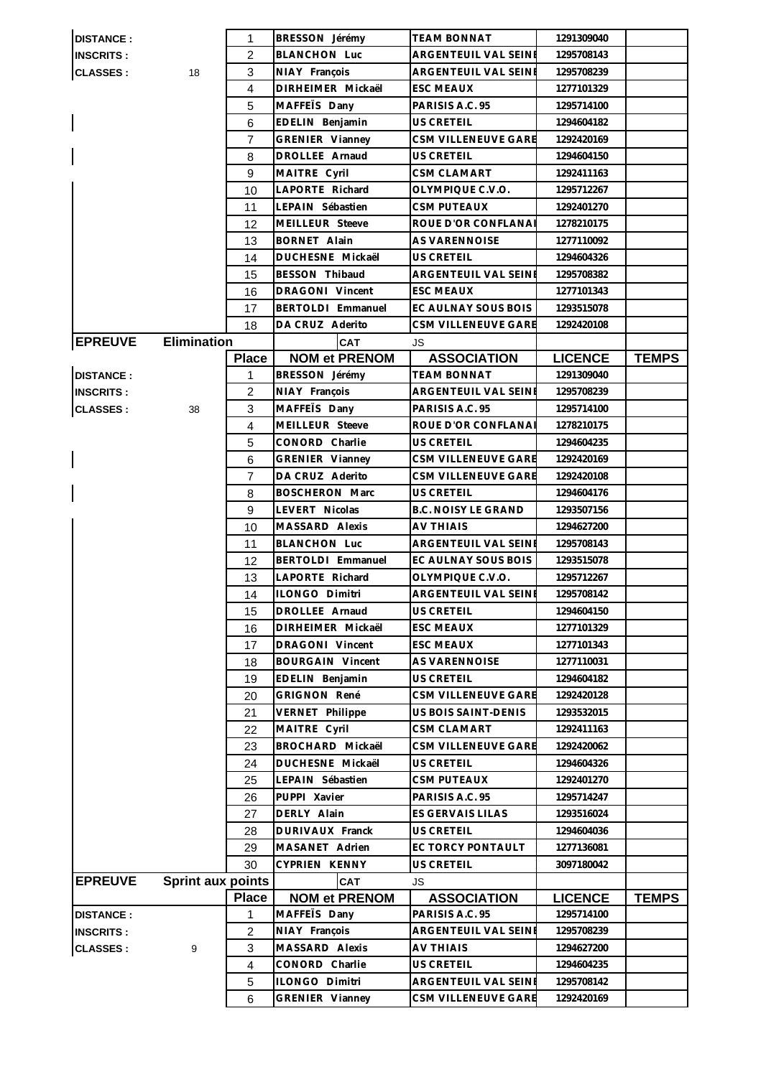| <b>DISTANCE:</b> |                          | 1              | BRESSON Jérémy          | <b>TEAM BONNAT</b>         | 1291309040     |              |
|------------------|--------------------------|----------------|-------------------------|----------------------------|----------------|--------------|
| <b>INSCRITS:</b> |                          | 2              | <b>BLANCHON Luc</b>     | ARGENTEUIL VAL SEINE       | 1295708143     |              |
| <b>CLASSES:</b>  | 18                       | 3              | NIAY François           | ARGENTEUIL VAL SEINE       | 1295708239     |              |
|                  |                          | $\overline{4}$ | DIRHEIMER Mickaël       | <b>ESC MEAUX</b>           | 1277101329     |              |
|                  |                          | 5              | MAFFETS Dany            | PARISIS A.C. 95            | 1295714100     |              |
|                  |                          | 6              | EDELIN Benjamin         | US CRETEIL                 | 1294604182     |              |
|                  |                          | $\overline{7}$ | GRENIER Vianney         | CSM VILLENEUVE GARE        | 1292420169     |              |
|                  |                          | 8              | DROLLEE Arnaud          | US CRETEIL                 | 1294604150     |              |
|                  |                          | 9              | MAITRE Cyril            | CSM CLAMART                | 1292411163     |              |
|                  |                          | 10             | LAPORTE Richard         | OLYMPIQUE C.V.O.           | 1295712267     |              |
|                  |                          | 11             | LEPAIN Sébastien        | <b>CSM PUTEAUX</b>         | 1292401270     |              |
|                  |                          | 12             | MEILLEUR Steeve         | ROUE D'OR CONFLANAI        | 1278210175     |              |
|                  |                          | 13             | <b>BORNET Alain</b>     | AS VARENNOISE              | 1277110092     |              |
|                  |                          | 14             | DUCHESNE Mickaël        | US CRETEIL                 | 1294604326     |              |
|                  |                          | 15             | BESSON Thibaud          | ARGENTEUIL VAL SEINE       | 1295708382     |              |
|                  |                          | 16             | DRAGONI Vincent         | <b>ESC MEAUX</b>           | 1277101343     |              |
|                  |                          | 17             | BERTOLDI Emmanuel       | EC AULNAY SOUS BOIS        | 1293515078     |              |
|                  |                          | 18             | DA CRUZ Aderito         | CSM VILLENEUVE GARE        | 1292420108     |              |
| <b>EPREUVE</b>   | <b>Elimination</b>       |                | <b>CAT</b>              | JS                         |                |              |
|                  |                          | <b>Place</b>   | <b>NOM et PRENOM</b>    | <b>ASSOCIATION</b>         | <b>LICENCE</b> | <b>TEMPS</b> |
| <b>DISTANCE:</b> |                          | 1              | BRESSON Jérémy          | <b>TEAM BONNAT</b>         | 1291309040     |              |
| <b>INSCRITS:</b> |                          | $\overline{c}$ | NIAY François           | ARGENTEUIL VAL SEINE       | 1295708239     |              |
| <b>CLASSES:</b>  | 38                       | 3              | MAFFETS Dany            | PARISIS A.C. 95            | 1295714100     |              |
|                  |                          | $\overline{4}$ | MEILLEUR Steeve         | ROUE D'OR CONFLANAI        | 1278210175     |              |
|                  |                          | 5              | CONORD Charlie          | US CRETEIL                 | 1294604235     |              |
|                  |                          | 6              | GRENIER Vianney         | CSM VILLENEUVE GARE        | 1292420169     |              |
|                  |                          | 7              | DA CRUZ Aderito         | CSM VILLENEUVE GARE        | 1292420108     |              |
|                  |                          | 8              | <b>BOSCHERON Marc</b>   | US CRETEIL                 | 1294604176     |              |
|                  |                          | 9              | LEVERT Nicolas          | <b>B.C. NOISY LE GRAND</b> | 1293507156     |              |
|                  |                          | 10             | MASSARD Alexis          | AV THIAIS                  | 1294627200     |              |
|                  |                          | 11             | <b>BLANCHON Luc</b>     | ARGENTEUIL VAL SEINE       | 1295708143     |              |
|                  |                          | 12             | BERTOLDI Emmanuel       | EC AULNAY SOUS BOIS        | 1293515078     |              |
|                  |                          | 13             | LAPORTE Richard         | OLYMPIQUE C.V.O.           | 1295712267     |              |
|                  |                          | 14             | ILONGO Dimitri          | ARGENTEUIL VAL SEINE       | 1295708142     |              |
|                  |                          | 15             | DROLLEE Arnaud          | US CRETEIL                 | 1294604150     |              |
|                  |                          | 16             | DIRHEIMER Mickaël       | <b>ESC MEAUX</b>           | 1277101329     |              |
|                  |                          | 17             | DRAGONI Vincent         | <b>ESC MEAUX</b>           | 1277101343     |              |
|                  |                          | 18             | <b>BOURGAIN Vincent</b> | AS VARENNOISE              | 1277110031     |              |
|                  |                          | 19             | EDELIN Benjamin         | US CRETEIL                 | 1294604182     |              |
|                  |                          | 20             | <b>GRIGNON René</b>     | CSM VILLENEUVE GARE        | 1292420128     |              |
|                  |                          | 21             | VERNET Philippe         | US BOIS SAINT-DENIS        | 1293532015     |              |
|                  |                          | 22             | MAITRE Cyril            | <b>CSM CLAMART</b>         | 1292411163     |              |
|                  |                          | 23             | BROCHARD Mickaël        | CSM VILLENEUVE GARE        | 1292420062     |              |
|                  |                          | 24             | DUCHESNE Mickaël        | US CRETEIL                 | 1294604326     |              |
|                  |                          | 25             | LEPAIN Sébastien        | <b>CSM PUTEAUX</b>         | 1292401270     |              |
|                  |                          | 26             | PUPPI Xavier            | PARISIS A.C. 95            | 1295714247     |              |
|                  |                          | 27             | DERLY Alain             | ES GERVAIS LILAS           | 1293516024     |              |
|                  |                          | 28             | DURIVAUX Franck         | <b>US CRETEIL</b>          | 1294604036     |              |
|                  |                          | 29             | MASANET Adrien          | EC TORCY PONTAULT          | 1277136081     |              |
|                  |                          | 30             | CYPRIEN KENNY           | US CRETEIL                 | 3097180042     |              |
| <b>EPREUVE</b>   | <b>Sprint aux points</b> |                | <b>CAT</b>              | JS                         |                |              |
|                  |                          | <b>Place</b>   | <b>NOM et PRENOM</b>    | <b>ASSOCIATION</b>         | <b>LICENCE</b> | <b>TEMPS</b> |
| <b>DISTANCE:</b> |                          | 1              | MAFFETS Dany            | PARISIS A.C. 95            | 1295714100     |              |
| <b>INSCRITS:</b> |                          | $\overline{c}$ | NIAY François           | ARGENTEUIL VAL SEINE       | 1295708239     |              |
| <b>CLASSES:</b>  | 9                        | 3              | MASSARD Alexis          | <b>AV THIAIS</b>           | 1294627200     |              |
|                  |                          | 4              | CONORD Charlie          | US CRETEIL                 | 1294604235     |              |
|                  |                          | 5              | ILONGO Dimitri          | ARGENTEUIL VAL SEINE       | 1295708142     |              |
|                  |                          | 6              | GRENIER Vianney         | CSM VILLENEUVE GARE        | 1292420169     |              |